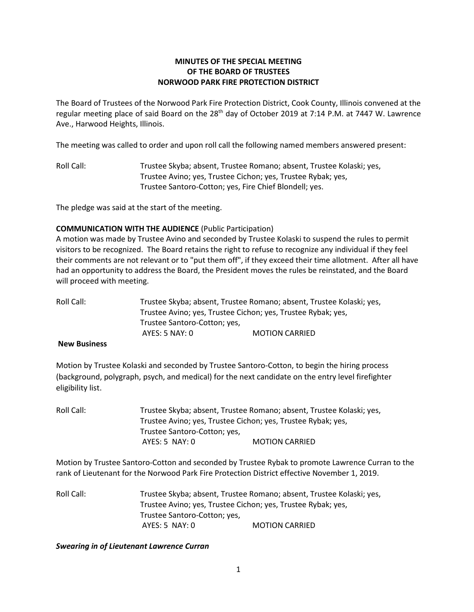# **MINUTES OF THE SPECIAL MEETING OF THE BOARD OF TRUSTEES NORWOOD PARK FIRE PROTECTION DISTRICT**

The Board of Trustees of the Norwood Park Fire Protection District, Cook County, Illinois convened at the regular meeting place of said Board on the 28<sup>th</sup> day of October 2019 at 7:14 P.M. at 7447 W. Lawrence Ave., Harwood Heights, Illinois.

The meeting was called to order and upon roll call the following named members answered present:

Roll Call: Trustee Skyba; absent, Trustee Romano; absent, Trustee Kolaski; yes, Trustee Avino; yes, Trustee Cichon; yes, Trustee Rybak; yes, Trustee Santoro-Cotton; yes, Fire Chief Blondell; yes.

The pledge was said at the start of the meeting.

#### **COMMUNICATION WITH THE AUDIENCE** (Public Participation)

A motion was made by Trustee Avino and seconded by Trustee Kolaski to suspend the rules to permit visitors to be recognized. The Board retains the right to refuse to recognize any individual if they feel their comments are not relevant or to "put them off", if they exceed their time allotment. After all have had an opportunity to address the Board, the President moves the rules be reinstated, and the Board will proceed with meeting.

| Roll Call: I | Trustee Skyba; absent, Trustee Romano; absent, Trustee Kolaski; yes,                         |  |  |
|--------------|----------------------------------------------------------------------------------------------|--|--|
|              | Trustee Avino; yes, Trustee Cichon; yes, Trustee Rybak; yes,<br>Trustee Santoro-Cotton; yes, |  |  |
|              |                                                                                              |  |  |
|              |                                                                                              |  |  |

#### **New Business**

Motion by Trustee Kolaski and seconded by Trustee Santoro-Cotton, to begin the hiring process (background, polygraph, psych, and medical) for the next candidate on the entry level firefighter eligibility list.

| Roll Call: |                                                              | Trustee Skyba; absent, Trustee Romano; absent, Trustee Kolaski; yes, |  |
|------------|--------------------------------------------------------------|----------------------------------------------------------------------|--|
|            | Trustee Avino; yes, Trustee Cichon; yes, Trustee Rybak; yes, |                                                                      |  |
|            | Trustee Santoro-Cotton; yes,                                 |                                                                      |  |
|            | AYES: 5 NAY: 0                                               | <b>MOTION CARRIED</b>                                                |  |

Motion by Trustee Santoro-Cotton and seconded by Trustee Rybak to promote Lawrence Curran to the rank of Lieutenant for the Norwood Park Fire Protection District effective November 1, 2019.

Roll Call: Trustee Skyba; absent, Trustee Romano; absent, Trustee Kolaski; yes, Trustee Avino; yes, Trustee Cichon; yes, Trustee Rybak; yes, Trustee Santoro-Cotton; yes, AYES: 5 NAY: 0 MOTION CARRIED

*Swearing in of Lieutenant Lawrence Curran*